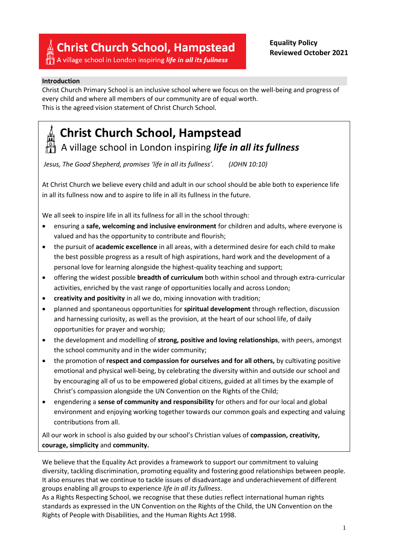**Christ Church School, Hampstead** 

 $\frac{|\mathcal{Q}|}{|\mathbf{I}|}$  A village school in London inspiring *life in all its fullness* 

#### **Introduction**

Christ Church Primary School is an inclusive school where we focus on the well-being and progress of every child and where all members of our community are of equal worth. This is the agreed vision statement of Christ Church School.

# **Christ Church School, Hampstead**

A village school in London inspiring *life in all its fullness*

*Jesus, The Good Shepherd, promises 'life in all its fullness'. (JOHN 10:10)*

At Christ Church we believe every child and adult in our school should be able both to experience life in all its fullness now and to aspire to life in all its fullness in the future.

We all seek to inspire life in all its fullness for all in the school through:

- ensuring a **safe, welcoming and inclusive environment** for children and adults, where everyone is valued and has the opportunity to contribute and flourish;
- the pursuit of **academic excellence** in all areas, with a determined desire for each child to make the best possible progress as a result of high aspirations, hard work and the development of a personal love for learning alongside the highest-quality teaching and support;
- offering the widest possible **breadth of curriculum** both within school and through extra-curricular activities, enriched by the vast range of opportunities locally and across London;
- **creativity and positivity** in all we do, mixing innovation with tradition;
- planned and spontaneous opportunities for **spiritual development** through reflection, discussion and harnessing curiosity, as well as the provision, at the heart of our school life, of daily opportunities for prayer and worship;
- the development and modelling of **strong, positive and loving relationships**, with peers, amongst the school community and in the wider community;
- the promotion of **respect and compassion for ourselves and for all others,** by cultivating positive emotional and physical well-being, by celebrating the diversity within and outside our school and by encouraging all of us to be empowered global citizens, guided at all times by the example of Christ's compassion alongside the UN Convention on the Rights of the Child;
- engendering a **sense of community and responsibility** for others and for our local and global environment and enjoying working together towards our common goals and expecting and valuing contributions from all.

All our work in school is also guided by our school's Christian values of **compassion, creativity, courage, simplicity** and **community.**

We believe that the Equality Act provides a framework to support our commitment to valuing diversity, tackling discrimination, promoting equality and fostering good relationships between people. It also ensures that we continue to tackle issues of disadvantage and underachievement of different groups enabling all groups to experience *life in all its fullness*.

As a Rights Respecting School, we recognise that these duties reflect international human rights standards as expressed in the UN Convention on the Rights of the Child, the UN Convention on the Rights of People with Disabilities, and the Human Rights Act 1998.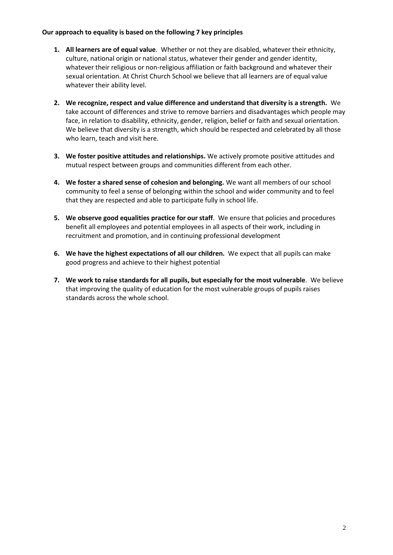## **Our approach to equality is based on the following 7 key principles**

- **1. All learners are of equal value**. Whether or not they are disabled, whatever their ethnicity, culture, national origin or national status, whatever their gender and gender identity, whatever their religious or non-religious affiliation or faith background and whatever their sexual orientation. At Christ Church School we believe that all learners are of equal value whatever their ability level.
- **2. We recognize, respect and value difference and understand that diversity is a strength.** We take account of differences and strive to remove barriers and disadvantages which people may face, in relation to disability, ethnicity, gender, religion, belief or faith and sexual orientation. We believe that diversity is a strength, which should be respected and celebrated by all those who learn, teach and visit here.
- **3. We foster positive attitudes and relationships.** We actively promote positive attitudes and mutual respect between groups and communities different from each other.
- **4. We foster a shared sense of cohesion and belonging.** We want all members of our school community to feel a sense of belonging within the school and wider community and to feel that they are respected and able to participate fully in school life.
- **5. We observe good equalities practice for our staff**. We ensure that policies and procedures benefit all employees and potential employees in all aspects of their work, including in recruitment and promotion, and in continuing professional development
- **6. We have the highest expectations of all our children.** We expect that all pupils can make good progress and achieve to their highest potential
- **7. We work to raise standards for all pupils, but especially for the most vulnerable**. We believe that improving the quality of education for the most vulnerable groups of pupils raises standards across the whole school.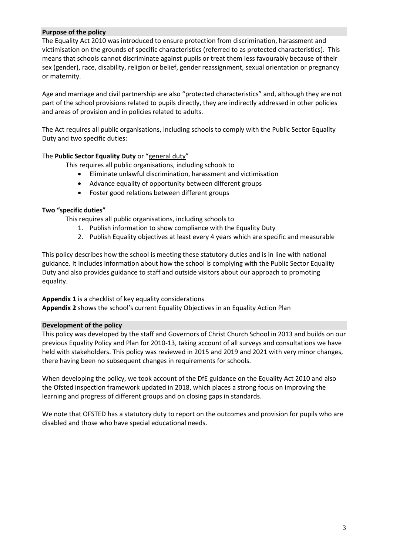## **Purpose of the policy**

The Equality Act 2010 was introduced to ensure protection from discrimination, harassment and victimisation on the grounds of specific characteristics (referred to as protected characteristics). This means that schools cannot discriminate against pupils or treat them less favourably because of their sex (gender), race, disability, religion or belief, gender reassignment, sexual orientation or pregnancy or maternity.

Age and marriage and civil partnership are also "protected characteristics" and, although they are not part of the school provisions related to pupils directly, they are indirectly addressed in other policies and areas of provision and in policies related to adults.

The Act requires all public organisations, including schools to comply with the Public Sector Equality Duty and two specific duties:

#### The **Public Sector Equality Duty** or "general duty"

This requires all public organisations, including schools to

- Eliminate unlawful discrimination, harassment and victimisation
- Advance equality of opportunity between different groups
- Foster good relations between different groups

#### **Two "specific duties"**

This requires all public organisations, including schools to

- 1. Publish information to show compliance with the Equality Duty
- 2. Publish Equality objectives at least every 4 years which are specific and measurable

This policy describes how the school is meeting these statutory duties and is in line with national guidance. It includes information about how the school is complying with the Public Sector Equality Duty and also provides guidance to staff and outside visitors about our approach to promoting equality.

#### **Appendix 1** is a checklist of key equality considerations

**Appendix 2** shows the school's current Equality Objectives in an Equality Action Plan

#### **Development of the policy**

This policy was developed by the staff and Governors of Christ Church School in 2013 and builds on our previous Equality Policy and Plan for 2010-13, taking account of all surveys and consultations we have held with stakeholders. This policy was reviewed in 2015 and 2019 and 2021 with very minor changes, there having been no subsequent changes in requirements for schools.

When developing the policy, we took account of the DfE guidance on the Equality Act 2010 and also the Ofsted inspection framework updated in 2018, which places a strong focus on improving the learning and progress of different groups and on closing gaps in standards.

We note that OFSTED has a statutory duty to report on the outcomes and provision for pupils who are disabled and those who have special educational needs.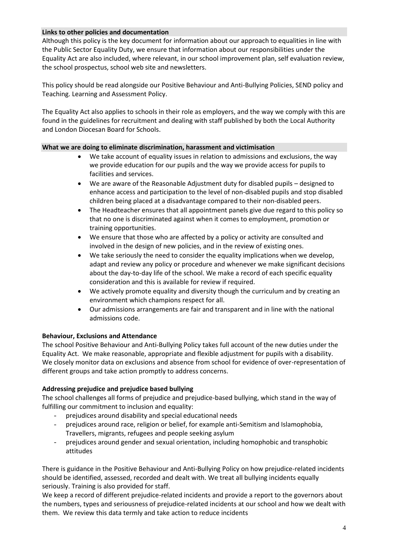## **Links to other policies and documentation**

Although this policy is the key document for information about our approach to equalities in line with the Public Sector Equality Duty, we ensure that information about our responsibilities under the Equality Act are also included, where relevant, in our school improvement plan, self evaluation review, the school prospectus, school web site and newsletters.

This policy should be read alongside our Positive Behaviour and Anti-Bullying Policies, SEND policy and Teaching. Learning and Assessment Policy.

The Equality Act also applies to schools in their role as employers, and the way we comply with this are found in the guidelines for recruitment and dealing with staff published by both the Local Authority and London Diocesan Board for Schools.

## **What we are doing to eliminate discrimination, harassment and victimisation**

- We take account of equality issues in relation to admissions and exclusions, the way we provide education for our pupils and the way we provide access for pupils to facilities and services.
- We are aware of the Reasonable Adjustment duty for disabled pupils designed to enhance access and participation to the level of non-disabled pupils and stop disabled children being placed at a disadvantage compared to their non-disabled peers.
- The Headteacher ensures that all appointment panels give due regard to this policy so that no one is discriminated against when it comes to employment, promotion or training opportunities.
- We ensure that those who are affected by a policy or activity are consulted and involved in the design of new policies, and in the review of existing ones.
- We take seriously the need to consider the equality implications when we develop, adapt and review any policy or procedure and whenever we make significant decisions about the day-to-day life of the school. We make a record of each specific equality consideration and this is available for review if required.
- We actively promote equality and diversity though the curriculum and by creating an environment which champions respect for all.
- Our admissions arrangements are fair and transparent and in line with the national admissions code.

# **Behaviour, Exclusions and Attendance**

The school Positive Behaviour and Anti-Bullying Policy takes full account of the new duties under the Equality Act. We make reasonable, appropriate and flexible adjustment for pupils with a disability. We closely monitor data on exclusions and absence from school for evidence of over-representation of different groups and take action promptly to address concerns.

#### **Addressing prejudice and prejudice based bullying**

The school challenges all forms of prejudice and prejudice-based bullying, which stand in the way of fulfilling our commitment to inclusion and equality:

- prejudices around disability and special educational needs
- prejudices around race, religion or belief, for example anti-Semitism and Islamophobia, Travellers, migrants, refugees and people seeking asylum
- prejudices around gender and sexual orientation, including homophobic and transphobic attitudes

There is guidance in the Positive Behaviour and Anti-Bullying Policy on how prejudice-related incidents should be identified, assessed, recorded and dealt with. We treat all bullying incidents equally seriously. Training is also provided for staff.

We keep a record of different prejudice-related incidents and provide a report to the governors about the numbers, types and seriousness of prejudice-related incidents at our school and how we dealt with them. We review this data termly and take action to reduce incidents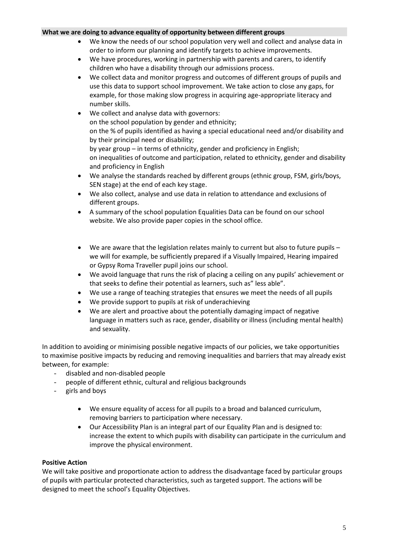## **What we are doing to advance equality of opportunity between different groups**

- We know the needs of our school population very well and collect and analyse data in order to inform our planning and identify targets to achieve improvements.
- We have procedures, working in partnership with parents and carers, to identify children who have a disability through our admissions process.
- We collect data and monitor progress and outcomes of different groups of pupils and use this data to support school improvement. We take action to close any gaps, for example, for those making slow progress in acquiring age-appropriate literacy and number skills.
- We collect and analyse data with governors: on the school population by gender and ethnicity; on the % of pupils identified as having a special educational need and/or disability and by their principal need or disability; by year group – in terms of ethnicity, gender and proficiency in English; on inequalities of outcome and participation, related to ethnicity, gender and disability and proficiency in English We analyse the standards reached by different groups (ethnic group, FSM, girls/boys,
- SEN stage) at the end of each key stage.
- We also collect, analyse and use data in relation to attendance and exclusions of different groups.
- A summary of the school population Equalities Data can be found on our school website. We also provide paper copies in the school office.
- We are aware that the legislation relates mainly to current but also to future pupils we will for example, be sufficiently prepared if a Visually Impaired, Hearing impaired or Gypsy Roma Traveller pupil joins our school.
- We avoid language that runs the risk of placing a ceiling on any pupils' achievement or that seeks to define their potential as learners, such as" less able".
- We use a range of teaching strategies that ensures we meet the needs of all pupils
- We provide support to pupils at risk of underachieving
- We are alert and proactive about the potentially damaging impact of negative language in matters such as race, gender, disability or illness (including mental health) and sexuality.

In addition to avoiding or minimising possible negative impacts of our policies, we take opportunities to maximise positive impacts by reducing and removing inequalities and barriers that may already exist between, for example:

- disabled and non-disabled people
- people of different ethnic, cultural and religious backgrounds
- girls and boys
	- We ensure equality of access for all pupils to a broad and balanced curriculum, removing barriers to participation where necessary.
	- Our Accessibility Plan is an integral part of our Equality Plan and is designed to: increase the extent to which pupils with disability can participate in the curriculum and improve the physical environment.

# **Positive Action**

We will take positive and proportionate action to address the disadvantage faced by particular groups of pupils with particular protected characteristics, such as targeted support. The actions will be designed to meet the school's Equality Objectives.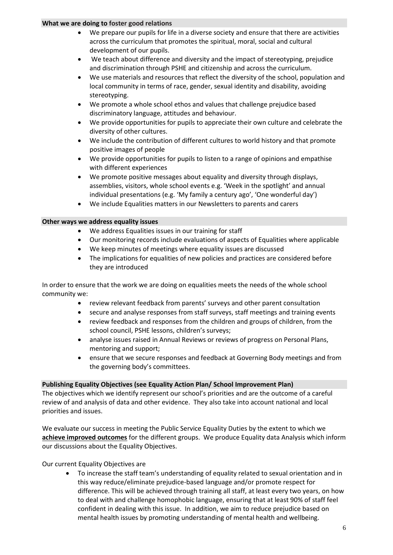## **What we are doing to foster good relations**

- We prepare our pupils for life in a diverse society and ensure that there are activities across the curriculum that promotes the spiritual, moral, social and cultural development of our pupils.
- We teach about difference and diversity and the impact of stereotyping, prejudice and discrimination through PSHE and citizenship and across the curriculum.
- We use materials and resources that reflect the diversity of the school, population and local community in terms of race, gender, sexual identity and disability, avoiding stereotyping.
- We promote a whole school ethos and values that challenge prejudice based discriminatory language, attitudes and behaviour.
- We provide opportunities for pupils to appreciate their own culture and celebrate the diversity of other cultures.
- We include the contribution of different cultures to world history and that promote positive images of people
- We provide opportunities for pupils to listen to a range of opinions and empathise with different experiences
- We promote positive messages about equality and diversity through displays, assemblies, visitors, whole school events e.g. 'Week in the spotlight' and annual individual presentations (e.g. 'My family a century ago', 'One wonderful day')
- We include Equalities matters in our Newsletters to parents and carers

## **Other ways we address equality issues**

- We address Equalities issues in our training for staff
- Our monitoring records include evaluations of aspects of Equalities where applicable
- We keep minutes of meetings where equality issues are discussed
- The implications for equalities of new policies and practices are considered before they are introduced

In order to ensure that the work we are doing on equalities meets the needs of the whole school community we:

- review relevant feedback from parents' surveys and other parent consultation
- secure and analyse responses from staff surveys, staff meetings and training events
- review feedback and responses from the children and groups of children, from the school council, PSHE lessons, children's surveys;
- analyse issues raised in Annual Reviews or reviews of progress on Personal Plans, mentoring and support;
- ensure that we secure responses and feedback at Governing Body meetings and from the governing body's committees.

# **Publishing Equality Objectives (see Equality Action Plan/ School Improvement Plan)**

The objectives which we identify represent our school's priorities and are the outcome of a careful review of and analysis of data and other evidence. They also take into account national and local priorities and issues.

We evaluate our success in meeting the Public Service Equality Duties by the extent to which we **achieve improved outcomes** for the different groups. We produce Equality data Analysis which inform our discussions about the Equality Objectives.

Our current Equality Objectives are

 To increase the staff team's understanding of equality related to sexual orientation and in this way reduce/eliminate prejudice-based language and/or promote respect for difference. This will be achieved through training all staff, at least every two years, on how to deal with and challenge homophobic language, ensuring that at least 90% of staff feel confident in dealing with this issue. In addition, we aim to reduce prejudice based on mental health issues by promoting understanding of mental health and wellbeing.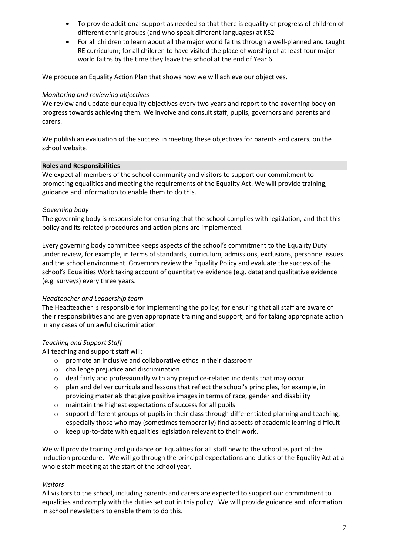- To provide additional support as needed so that there is equality of progress of children of different ethnic groups (and who speak different languages) at KS2
- For all children to learn about all the major world faiths through a well-planned and taught RE curriculum; for all children to have visited the place of worship of at least four major world faiths by the time they leave the school at the end of Year 6

We produce an Equality Action Plan that shows how we will achieve our objectives.

## *Monitoring and reviewing objectives*

We review and update our equality objectives every two years and report to the governing body on progress towards achieving them. We involve and consult staff, pupils, governors and parents and carers.

We publish an evaluation of the success in meeting these objectives for parents and carers, on the school website.

#### **Roles and Responsibilities**

We expect all members of the school community and visitors to support our commitment to promoting equalities and meeting the requirements of the Equality Act. We will provide training, guidance and information to enable them to do this.

## *Governing body*

The governing body is responsible for ensuring that the school complies with legislation, and that this policy and its related procedures and action plans are implemented.

Every governing body committee keeps aspects of the school's commitment to the Equality Duty under review, for example, in terms of standards, curriculum, admissions, exclusions, personnel issues and the school environment. Governors review the Equality Policy and evaluate the success of the school's Equalities Work taking account of quantitative evidence (e.g. data) and qualitative evidence (e.g. surveys) every three years.

# *Headteacher and Leadership team*

The Headteacher is responsible for implementing the policy; for ensuring that all staff are aware of their responsibilities and are given appropriate training and support; and for taking appropriate action in any cases of unlawful discrimination.

# *Teaching and Support Staff*

All teaching and support staff will:

- o promote an inclusive and collaborative ethos in their classroom
- o challenge prejudice and discrimination
- o deal fairly and professionally with any prejudice-related incidents that may occur
- o plan and deliver curricula and lessons that reflect the school's principles, for example, in providing materials that give positive images in terms of race, gender and disability
- o maintain the highest expectations of success for all pupils
- support different groups of pupils in their class through differentiated planning and teaching, especially those who may (sometimes temporarily) find aspects of academic learning difficult
- o keep up-to-date with equalities legislation relevant to their work.

We will provide training and guidance on Equalities for all staff new to the school as part of the induction procedure. We will go through the principal expectations and duties of the Equality Act at a whole staff meeting at the start of the school year.

# *Visitors*

All visitors to the school, including parents and carers are expected to support our commitment to equalities and comply with the duties set out in this policy. We will provide guidance and information in school newsletters to enable them to do this.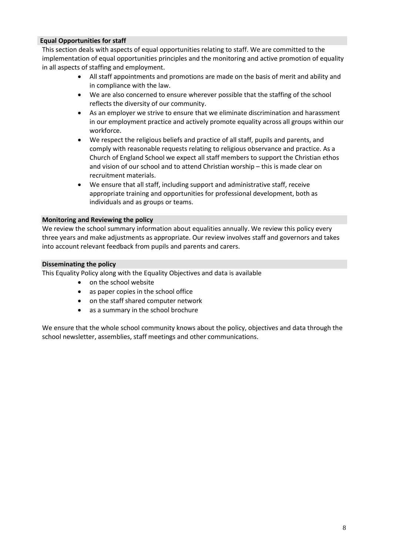## **Equal Opportunities for staff**

This section deals with aspects of equal opportunities relating to staff. We are committed to the implementation of equal opportunities principles and the monitoring and active promotion of equality in all aspects of staffing and employment.

- All staff appointments and promotions are made on the basis of merit and ability and in compliance with the law.
- We are also concerned to ensure wherever possible that the staffing of the school reflects the diversity of our community.
- As an employer we strive to ensure that we eliminate discrimination and harassment in our employment practice and actively promote equality across all groups within our workforce.
- We respect the religious beliefs and practice of all staff, pupils and parents, and comply with reasonable requests relating to religious observance and practice. As a Church of England School we expect all staff members to support the Christian ethos and vision of our school and to attend Christian worship – this is made clear on recruitment materials.
- We ensure that all staff, including support and administrative staff, receive appropriate training and opportunities for professional development, both as individuals and as groups or teams.

#### **Monitoring and Reviewing the policy**

We review the school summary information about equalities annually. We review this policy every three years and make adjustments as appropriate. Our review involves staff and governors and takes into account relevant feedback from pupils and parents and carers.

## **Disseminating the policy**

This Equality Policy along with the Equality Objectives and data is available

- on the school website
- as paper copies in the school office
- on the staff shared computer network
- as a summary in the school brochure

We ensure that the whole school community knows about the policy, objectives and data through the school newsletter, assemblies, staff meetings and other communications.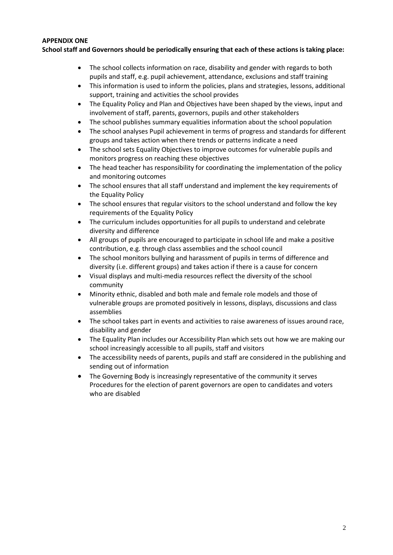## **APPENDIX ONE**

**School staff and Governors should be periodically ensuring that each of these actions is taking place:**

- The school collects information on race, disability and gender with regards to both pupils and staff, e.g. pupil achievement, attendance, exclusions and staff training
- This information is used to inform the policies, plans and strategies, lessons, additional support, training and activities the school provides
- The Equality Policy and Plan and Objectives have been shaped by the views, input and involvement of staff, parents, governors, pupils and other stakeholders
- The school publishes summary equalities information about the school population
- The school analyses Pupil achievement in terms of progress and standards for different groups and takes action when there trends or patterns indicate a need
- The school sets Equality Objectives to improve outcomes for vulnerable pupils and monitors progress on reaching these objectives
- The head teacher has responsibility for coordinating the implementation of the policy and monitoring outcomes
- The school ensures that all staff understand and implement the key requirements of the Equality Policy
- The school ensures that regular visitors to the school understand and follow the key requirements of the Equality Policy
- The curriculum includes opportunities for all pupils to understand and celebrate diversity and difference
- All groups of pupils are encouraged to participate in school life and make a positive contribution, e.g. through class assemblies and the school council
- The school monitors bullying and harassment of pupils in terms of difference and diversity (i.e. different groups) and takes action if there is a cause for concern
- Visual displays and multi-media resources reflect the diversity of the school community
- Minority ethnic, disabled and both male and female role models and those of vulnerable groups are promoted positively in lessons, displays, discussions and class assemblies
- The school takes part in events and activities to raise awareness of issues around race, disability and gender
- The Equality Plan includes our Accessibility Plan which sets out how we are making our school increasingly accessible to all pupils, staff and visitors
- The accessibility needs of parents, pupils and staff are considered in the publishing and sending out of information
- The Governing Body is increasingly representative of the community it serves Procedures for the election of parent governors are open to candidates and voters who are disabled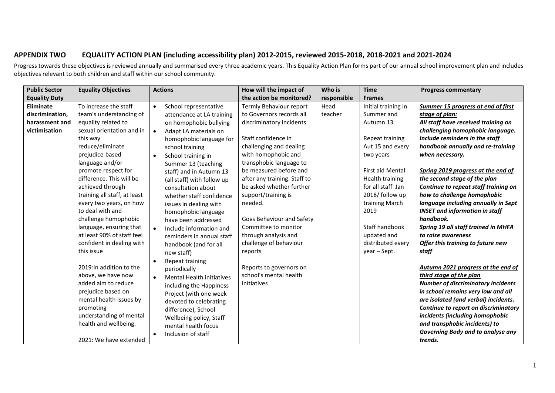# **APPENDIX TWO EQUALITY ACTION PLAN (including accessibility plan) 2012-2015, reviewed 2015-2018, 2018-2021 and 2021-2024**

Progress towards these objectives is reviewed annually and summarised every three academic years. This Equality Action Plan forms part of our annual school improvement plan and includes objectives relevant to both children and staff within our school community.

| <b>Public Sector</b> | <b>Equality Objectives</b>   | <b>Actions</b>                     | How will the impact of       | Who is      | <b>Time</b>         | <b>Progress commentary</b>                |
|----------------------|------------------------------|------------------------------------|------------------------------|-------------|---------------------|-------------------------------------------|
| <b>Equality Duty</b> |                              |                                    | the action be monitored?     | responsible | <b>Frames</b>       |                                           |
| Eliminate            | To increase the staff        | School representative<br>$\bullet$ | Termly Behaviour report      | Head        | Initial training in | Summer 15 progress at end of first        |
| discrimination,      | team's understanding of      | attendance at LA training          | to Governors records all     | teacher     | Summer and          | stage of plan:                            |
| harassment and       | equality related to          | on homophobic bullying             | discriminatory incidents     |             | Autumn 13           | All staff have received training on       |
| victimisation        | sexual orientation and in    | Adapt LA materials on              |                              |             |                     | challenging homophobic language.          |
|                      | this way                     | homophobic language for            | Staff confidence in          |             | Repeat training     | Include reminders in the staff            |
|                      | reduce/eliminate             | school training                    | challenging and dealing      |             | Aut 15 and every    | handbook annually and re-training         |
|                      | prejudice-based              | School training in<br>$\bullet$    | with homophobic and          |             | two years           | when necessary.                           |
|                      | language and/or              | Summer 13 (teaching                | transphobic language to      |             |                     |                                           |
|                      | promote respect for          | staff) and in Autumn 13            | be measured before and       |             | First aid Mental    | Spring 2019 progress at the end of        |
|                      | difference. This will be     | (all staff) with follow up         | after any training. Staff to |             | Health training     | the second stage of the plan              |
|                      | achieved through             | consultation about                 | be asked whether further     |             | for all staff Jan   | Continue to repeat staff training on      |
|                      | training all staff, at least | whether staff confidence           | support/training is          |             | 2018/ follow up     | how to challenge homophobic               |
|                      | every two years, on how      | issues in dealing with             | needed.                      |             | training March      | language including annually in Sept       |
|                      | to deal with and             | homophobic language                |                              |             | 2019                | <b>INSET and information in staff</b>     |
|                      | challenge homophobic         | have been addressed                | Govs Behaviour and Safety    |             |                     | handbook.                                 |
|                      | language, ensuring that      | Include information and            | Committee to monitor         |             | Staff handbook      | Spring 19 all staff trained in MHFA       |
|                      | at least 90% of staff feel   | reminders in annual staff          | through analysis and         |             | updated and         | to raise awareness                        |
|                      | confident in dealing with    | handbook (and for all              | challenge of behaviour       |             | distributed every   | Offer this training to future new         |
|                      | this issue                   | new staff)                         | reports                      |             | year - Sept.        | staff                                     |
|                      |                              | Repeat training                    |                              |             |                     |                                           |
|                      | 2019:In addition to the      | periodically                       | Reports to governors on      |             |                     | Autumn 2021 progress at the end of        |
|                      | above, we have now           | <b>Mental Health initiatives</b>   | school's mental health       |             |                     | third stage of the plan                   |
|                      | added aim to reduce          | including the Happiness            | initiatives                  |             |                     | <b>Number of discriminatory incidents</b> |
|                      | prejudice based on           | Project (with one week             |                              |             |                     | in school remains very low and all        |
|                      | mental health issues by      | devoted to celebrating             |                              |             |                     | are isolated (and verbal) incidents.      |
|                      | promoting                    | difference), School                |                              |             |                     | Continue to report on discriminatory      |
|                      | understanding of mental      | Wellbeing policy, Staff            |                              |             |                     | incidents (including homophobic           |
|                      | health and wellbeing.        | mental health focus                |                              |             |                     | and transphobic incidents) to             |
|                      |                              | Inclusion of staff                 |                              |             |                     | Governing Body and to analyse any         |
|                      | 2021: We have extended       |                                    |                              |             |                     | trends.                                   |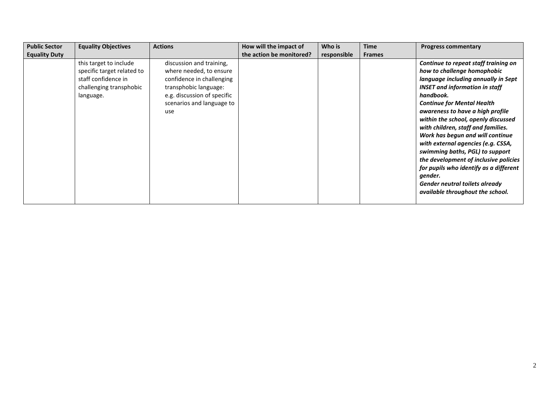| <b>Public Sector</b> | <b>Equality Objectives</b>                                                                                          | <b>Actions</b>                                                                                                                                                               | How will the impact of   | Who is      | <b>Time</b>   | <b>Progress commentary</b>                                                                                                                                                                                                                                                                                                                                                                                                                                                                                                                                                                              |
|----------------------|---------------------------------------------------------------------------------------------------------------------|------------------------------------------------------------------------------------------------------------------------------------------------------------------------------|--------------------------|-------------|---------------|---------------------------------------------------------------------------------------------------------------------------------------------------------------------------------------------------------------------------------------------------------------------------------------------------------------------------------------------------------------------------------------------------------------------------------------------------------------------------------------------------------------------------------------------------------------------------------------------------------|
| <b>Equality Duty</b> |                                                                                                                     |                                                                                                                                                                              | the action be monitored? | responsible | <b>Frames</b> |                                                                                                                                                                                                                                                                                                                                                                                                                                                                                                                                                                                                         |
|                      | this target to include<br>specific target related to<br>staff confidence in<br>challenging transphobic<br>language. | discussion and training,<br>where needed, to ensure<br>confidence in challenging<br>transphobic language:<br>e.g. discussion of specific<br>scenarios and language to<br>use |                          |             |               | Continue to repeat staff training on<br>how to challenge homophobic<br>language including annually in Sept<br><b>INSET and information in staff</b><br>handbook.<br><b>Continue for Mental Health</b><br>awareness to have a high profile<br>within the school, openly discussed<br>with children, staff and families.<br>Work has begun and will continue<br>with external agencies (e.g. CSSA,<br>swimming baths, PGL) to support<br>the development of inclusive policies<br>for pupils who identify as a different<br>gender.<br>Gender neutral toilets already<br>available throughout the school. |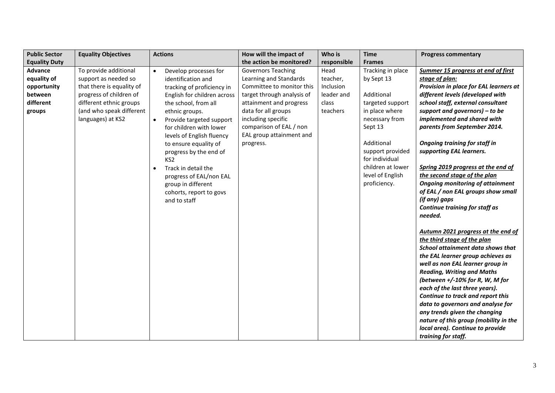| <b>Public Sector</b> | <b>Equality Objectives</b> | <b>Actions</b>                        | How will the impact of     | Who is      | <b>Time</b>       | <b>Progress commentary</b>                                             |
|----------------------|----------------------------|---------------------------------------|----------------------------|-------------|-------------------|------------------------------------------------------------------------|
| <b>Equality Duty</b> |                            |                                       | the action be monitored?   | responsible | <b>Frames</b>     |                                                                        |
| Advance              | To provide additional      | Develop processes for<br>$\bullet$    | <b>Governors Teaching</b>  | Head        | Tracking in place | Summer 15 progress at end of first                                     |
| equality of          | support as needed so       | identification and                    | Learning and Standards     | teacher,    | by Sept 13        | stage of plan:                                                         |
| opportunity          | that there is equality of  | tracking of proficiency in            | Committee to monitor this  | Inclusion   |                   | Provision in place for EAL learners at                                 |
| between              | progress of children of    | English for children across           | target through analysis of | leader and  | Additional        | different levels (developed with                                       |
| different            | different ethnic groups    | the school, from all                  | attainment and progress    | class       | targeted support  | school staff, external consultant                                      |
| groups               | (and who speak different   | ethnic groups.                        | data for all groups        | teachers    | in place where    | support and governors) $-$ to be                                       |
|                      | languages) at KS2          | Provide targeted support<br>$\bullet$ | including specific         |             | necessary from    | implemented and shared with                                            |
|                      |                            | for children with lower               | comparison of EAL / non    |             | Sept 13           | parents from September 2014.                                           |
|                      |                            | levels of English fluency             | EAL group attainment and   |             |                   |                                                                        |
|                      |                            | to ensure equality of                 | progress.                  |             | Additional        | <b>Ongoing training for staff in</b>                                   |
|                      |                            | progress by the end of                |                            |             | support provided  | supporting EAL learners.                                               |
|                      |                            | KS <sub>2</sub>                       |                            |             | for individual    |                                                                        |
|                      |                            | Track in detail the<br>$\bullet$      |                            |             | children at lower | Spring 2019 progress at the end of                                     |
|                      |                            | progress of EAL/non EAL               |                            |             | level of English  | the second stage of the plan                                           |
|                      |                            | group in different                    |                            |             | proficiency.      | <b>Ongoing monitoring of attainment</b>                                |
|                      |                            | cohorts, report to govs               |                            |             |                   | of EAL / non EAL groups show small                                     |
|                      |                            | and to staff                          |                            |             |                   | (if any) gaps                                                          |
|                      |                            |                                       |                            |             |                   | Continue training for staff as                                         |
|                      |                            |                                       |                            |             |                   | needed.                                                                |
|                      |                            |                                       |                            |             |                   |                                                                        |
|                      |                            |                                       |                            |             |                   | Autumn 2021 progress at the end of                                     |
|                      |                            |                                       |                            |             |                   | the third stage of the plan                                            |
|                      |                            |                                       |                            |             |                   | School attainment data shows that<br>the EAL learner group achieves as |
|                      |                            |                                       |                            |             |                   | well as non EAL learner group in                                       |
|                      |                            |                                       |                            |             |                   | <b>Reading, Writing and Maths</b>                                      |
|                      |                            |                                       |                            |             |                   | (between +/-10% for R, W, M for                                        |
|                      |                            |                                       |                            |             |                   | each of the last three years).                                         |
|                      |                            |                                       |                            |             |                   | Continue to track and report this                                      |
|                      |                            |                                       |                            |             |                   | data to governors and analyse for                                      |
|                      |                            |                                       |                            |             |                   | any trends given the changing                                          |
|                      |                            |                                       |                            |             |                   | nature of this group (mobility in the                                  |
|                      |                            |                                       |                            |             |                   | local area). Continue to provide                                       |
|                      |                            |                                       |                            |             |                   | training for staff.                                                    |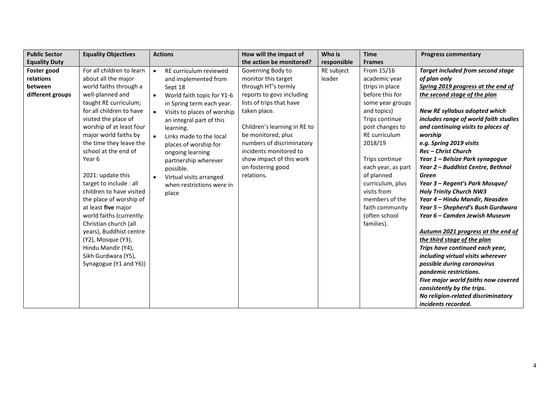| <b>Public Sector</b> | <b>Equality Objectives</b> | <b>Actions</b>                           | How will the impact of       | Who is      | <b>Time</b>        | <b>Progress commentary</b>               |
|----------------------|----------------------------|------------------------------------------|------------------------------|-------------|--------------------|------------------------------------------|
| <b>Equality Duty</b> |                            |                                          | the action be monitored?     | responsible | <b>Frames</b>      |                                          |
| Foster good          | For all children to learn  | RE curriculum reviewed<br>$\bullet$      | Governing Body to            | RE subject  | From 15/16         | <b>Target included from second stage</b> |
| relations            | about all the major        | and implemented from                     | monitor this target          | leader      | academic year      | of plan only                             |
| between              | world faiths through a     | Sept 18                                  | through HT's termly          |             | (trips in place    | Spring 2019 progress at the end of       |
| different groups     | well-planned and           | World faith topic for Y1-6<br>$\bullet$  | reports to govs including    |             | before this for    | the second stage of the plan             |
|                      | taught RE curriculum;      | in Spring term each year.                | lists of trips that have     |             | some year groups   |                                          |
|                      | for all children to have   | Visits to places of worship<br>$\bullet$ | taken place.                 |             | and topics)        | New RE syllabus adopted which            |
|                      | visited the place of       | an integral part of this                 |                              |             | Trips continue     | includes range of world faith studies    |
|                      | worship of at least four   | learning.                                | Children's learning in RE to |             | post changes to    | and continuing visits to places of       |
|                      | major world faiths by      | Links made to the local                  | be monitored, plus           |             | RE curriculum      | worship                                  |
|                      | the time they leave the    | places of worship for                    | numbers of discriminatory    |             | 2018/19            | e.g. Spring 2019 visits                  |
|                      | school at the end of       | ongoing learning                         | incidents monitored to       |             |                    | Rec - Christ Church                      |
|                      | Year 6                     | partnership wherever                     | show impact of this work     |             | Trips continue     | Year 1 - Belsize Park synagogue          |
|                      |                            | possible.                                | on fostering good            |             | each year, as part | Year 2 - Buddhist Centre, Bethnal        |
|                      | 2021: update this          | Virtual visits arranged<br>$\bullet$     | relations.                   |             | of planned         | <b>Green</b>                             |
|                      | target to include : all    | when restrictions were in                |                              |             | curriculum, plus   | Year 3 - Regent's Park Mosque/           |
|                      | children to have visited   | place                                    |                              |             | visits from        | <b>Holy Trinity Church NW3</b>           |
|                      | the place of worship of    |                                          |                              |             | members of the     | Year 4 - Hindu Mandir, Neasden           |
|                      | at least five major        |                                          |                              |             | faith community    | Year 5 – Shepherd's Bush Gurdwara        |
|                      | world faiths (currently:   |                                          |                              |             | (often school      | Year 6 – Camden Jewish Museum            |
|                      | Christian church (all      |                                          |                              |             | families).         |                                          |
|                      | years), Buddhist centre    |                                          |                              |             |                    | Autumn 2021 progress at the end of       |
|                      | (Y2), Mosque (Y3),         |                                          |                              |             |                    | the third stage of the plan              |
|                      | Hindu Mandir (Y4),         |                                          |                              |             |                    | Trips have continued each year,          |
|                      | Sikh Gurdwara (Y5),        |                                          |                              |             |                    | including virtual visits wherever        |
|                      | Synagogue (Y1 and Y6))     |                                          |                              |             |                    | possible during coronavirus              |
|                      |                            |                                          |                              |             |                    | pandemic restrictions.                   |
|                      |                            |                                          |                              |             |                    | Five major world faiths now covered      |
|                      |                            |                                          |                              |             |                    | consistently by the trips.               |
|                      |                            |                                          |                              |             |                    | No religion-related discriminatory       |
|                      |                            |                                          |                              |             |                    | incidents recorded.                      |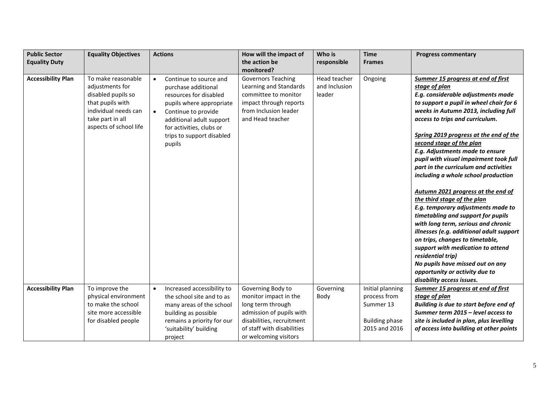| <b>Public Sector</b>      | <b>Equality Objectives</b>                                                                                                                            | <b>Actions</b>                                                                                                                                                                                                                                      | How will the impact of                                                                                                                             | Who is                                  | <b>Time</b>                      | <b>Progress commentary</b>                                                                                                                                                                                                                                                                                                                                                                                                                                                                                                                                                                                                                                                                                                                                                                                                                                |
|---------------------------|-------------------------------------------------------------------------------------------------------------------------------------------------------|-----------------------------------------------------------------------------------------------------------------------------------------------------------------------------------------------------------------------------------------------------|----------------------------------------------------------------------------------------------------------------------------------------------------|-----------------------------------------|----------------------------------|-----------------------------------------------------------------------------------------------------------------------------------------------------------------------------------------------------------------------------------------------------------------------------------------------------------------------------------------------------------------------------------------------------------------------------------------------------------------------------------------------------------------------------------------------------------------------------------------------------------------------------------------------------------------------------------------------------------------------------------------------------------------------------------------------------------------------------------------------------------|
| <b>Equality Duty</b>      |                                                                                                                                                       |                                                                                                                                                                                                                                                     | the action be                                                                                                                                      | responsible                             | <b>Frames</b>                    |                                                                                                                                                                                                                                                                                                                                                                                                                                                                                                                                                                                                                                                                                                                                                                                                                                                           |
|                           |                                                                                                                                                       |                                                                                                                                                                                                                                                     | monitored?                                                                                                                                         |                                         |                                  |                                                                                                                                                                                                                                                                                                                                                                                                                                                                                                                                                                                                                                                                                                                                                                                                                                                           |
| <b>Accessibility Plan</b> | To make reasonable<br>adjustments for<br>disabled pupils so<br>that pupils with<br>individual needs can<br>take part in all<br>aspects of school life | Continue to source and<br>$\bullet$<br>purchase additional<br>resources for disabled<br>pupils where appropriate<br>Continue to provide<br>$\bullet$<br>additional adult support<br>for activities, clubs or<br>trips to support disabled<br>pupils | <b>Governors Teaching</b><br>Learning and Standards<br>committee to monitor<br>impact through reports<br>from Inclusion leader<br>and Head teacher | Head teacher<br>and Inclusion<br>leader | Ongoing                          | Summer 15 progress at end of first<br>stage of plan<br>E.g. considerable adjustments made<br>to support a pupil in wheel chair for 6<br>weeks in Autumn 2013, including full<br>access to trips and curriculum.<br>Spring 2019 progress at the end of the<br>second stage of the plan<br>E.g. Adjustments made to ensure<br>pupil with visual impairment took full<br>part in the curriculum and activities<br>including a whole school production<br>Autumn 2021 progress at the end of<br>the third stage of the plan<br>E.g. temporary adjustments made to<br>timetabling and support for pupils<br>with long term, serious and chronic<br>illnesses (e.g. additional adult support<br>on trips, changes to timetable,<br>support with medication to attend<br>residential trip)<br>No pupils have missed out on any<br>opportunity or activity due to |
|                           |                                                                                                                                                       |                                                                                                                                                                                                                                                     |                                                                                                                                                    |                                         |                                  | disability access issues.                                                                                                                                                                                                                                                                                                                                                                                                                                                                                                                                                                                                                                                                                                                                                                                                                                 |
| <b>Accessibility Plan</b> | To improve the                                                                                                                                        | Increased accessibility to<br>$\bullet$                                                                                                                                                                                                             | Governing Body to                                                                                                                                  | Governing                               | Initial planning<br>process from | Summer 15 progress at end of first                                                                                                                                                                                                                                                                                                                                                                                                                                                                                                                                                                                                                                                                                                                                                                                                                        |
|                           | physical environment<br>to make the school                                                                                                            | the school site and to as<br>many areas of the school                                                                                                                                                                                               | monitor impact in the<br>long term through                                                                                                         | Body                                    | Summer 13                        | stage of plan<br>Building is due to start before end of                                                                                                                                                                                                                                                                                                                                                                                                                                                                                                                                                                                                                                                                                                                                                                                                   |
|                           | site more accessible                                                                                                                                  | building as possible                                                                                                                                                                                                                                | admission of pupils with                                                                                                                           |                                         |                                  | Summer term 2015 - level access to                                                                                                                                                                                                                                                                                                                                                                                                                                                                                                                                                                                                                                                                                                                                                                                                                        |
|                           | for disabled people                                                                                                                                   | remains a priority for our                                                                                                                                                                                                                          | disabilities, recruitment                                                                                                                          |                                         | <b>Building phase</b>            | site is included in plan, plus levelling                                                                                                                                                                                                                                                                                                                                                                                                                                                                                                                                                                                                                                                                                                                                                                                                                  |
|                           |                                                                                                                                                       | 'suitability' building                                                                                                                                                                                                                              | of staff with disabilities                                                                                                                         |                                         | 2015 and 2016                    | of access into building at other points                                                                                                                                                                                                                                                                                                                                                                                                                                                                                                                                                                                                                                                                                                                                                                                                                   |
|                           |                                                                                                                                                       | project                                                                                                                                                                                                                                             | or welcoming visitors                                                                                                                              |                                         |                                  |                                                                                                                                                                                                                                                                                                                                                                                                                                                                                                                                                                                                                                                                                                                                                                                                                                                           |